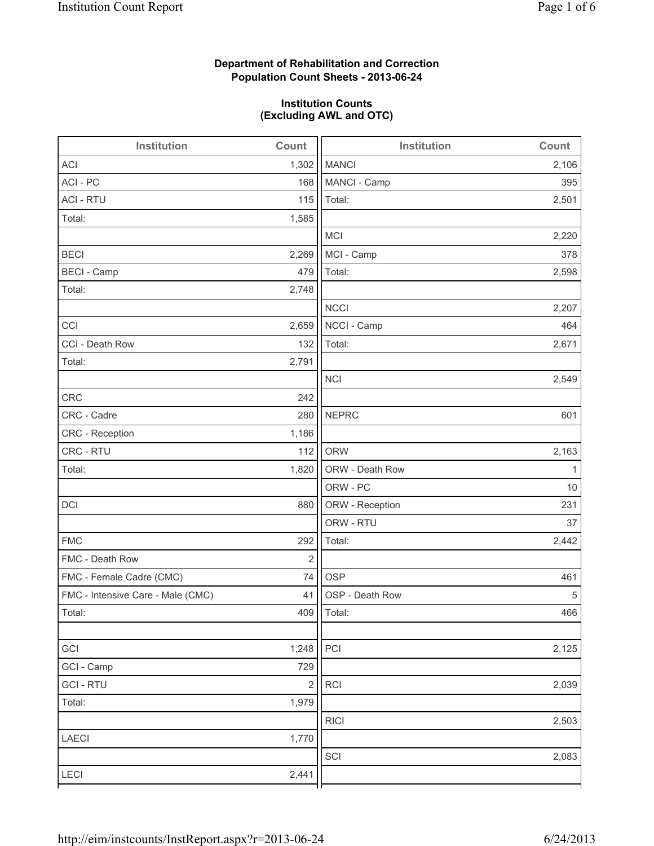# **Department of Rehabilitation and Correction Population Count Sheets - 2013-06-24**

# **Institution Counts (Excluding AWL and OTC)**

| Institution                       | Count      | <b>Institution</b> | Count |
|-----------------------------------|------------|--------------------|-------|
| <b>ACI</b>                        | 1,302      | <b>MANCI</b>       | 2,106 |
| ACI - PC                          | 168        | MANCI - Camp       | 395   |
| <b>ACI - RTU</b>                  | 115        | Total:             | 2,501 |
| Total:                            | 1,585      |                    |       |
|                                   |            | <b>MCI</b>         | 2,220 |
| <b>BECI</b>                       | 2,269      | MCI - Camp         | 378   |
| <b>BECI - Camp</b>                | 479        | Total:             | 2,598 |
| Total:                            | 2,748      |                    |       |
|                                   |            | <b>NCCI</b>        | 2,207 |
| CCI                               | 2,659      | NCCI - Camp        | 464   |
| CCI - Death Row                   | 132        | Total:             | 2,671 |
| Total:                            | 2,791      |                    |       |
|                                   |            | <b>NCI</b>         | 2,549 |
| <b>CRC</b>                        | 242        |                    |       |
| CRC - Cadre                       | 280        | <b>NEPRC</b>       | 601   |
| CRC - Reception                   | 1,186      |                    |       |
| CRC - RTU                         | 112        | <b>ORW</b>         | 2,163 |
| Total:                            | 1,820      | ORW - Death Row    | 1     |
|                                   |            | ORW - PC           | 10    |
| DCI                               | 880        | ORW - Reception    | 231   |
|                                   |            | ORW - RTU          | 37    |
| <b>FMC</b>                        | 292        | Total:             | 2,442 |
| FMC - Death Row                   | $\sqrt{2}$ |                    |       |
| FMC - Female Cadre (CMC)          | 74         | <b>OSP</b>         | 461   |
| FMC - Intensive Care - Male (CMC) | 41         | OSP - Death Row    | 5     |
| Total:                            |            | 409   Total:       | 466   |
|                                   |            |                    |       |
| GCI                               | 1,248      | PCI                | 2,125 |
| GCI - Camp                        | 729        |                    |       |
| <b>GCI-RTU</b>                    | $\sqrt{2}$ | RCI                | 2,039 |
| Total:                            | 1,979      |                    |       |
|                                   |            | <b>RICI</b>        | 2,503 |
| LAECI                             | 1,770      |                    |       |
|                                   |            | SCI                | 2,083 |
| LECI                              | 2,441      |                    |       |
|                                   |            |                    |       |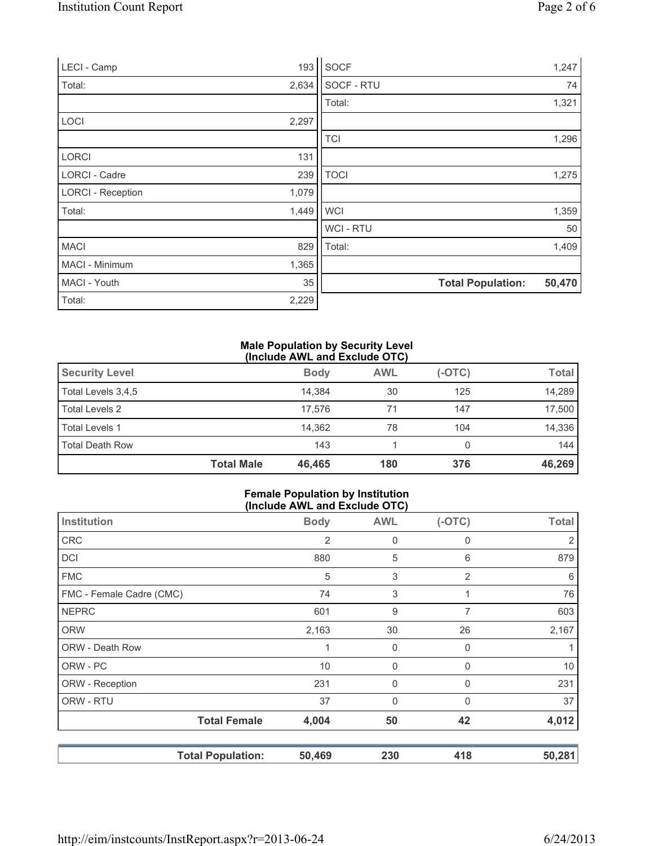| LECI - Camp              | 193   | <b>SOCF</b>    |                          | 1,247  |
|--------------------------|-------|----------------|--------------------------|--------|
| Total:                   | 2,634 | SOCF - RTU     |                          | 74     |
|                          |       | Total:         |                          | 1,321  |
| LOCI                     | 2,297 |                |                          |        |
|                          |       | <b>TCI</b>     |                          | 1,296  |
| <b>LORCI</b>             | 131   |                |                          |        |
| <b>LORCI - Cadre</b>     | 239   | <b>TOCI</b>    |                          | 1,275  |
| <b>LORCI - Reception</b> | 1,079 |                |                          |        |
| Total:                   | 1,449 | <b>WCI</b>     |                          | 1,359  |
|                          |       | <b>WCI-RTU</b> |                          | 50     |
| <b>MACI</b>              | 829   | Total:         |                          | 1,409  |
| MACI - Minimum           | 1,365 |                |                          |        |
| MACI - Youth             | 35    |                | <b>Total Population:</b> | 50,470 |
| Total:                   | 2,229 |                |                          |        |

#### **Male Population by Security Level (Include AWL and Exclude OTC)**

| <b>Security Level</b>  |                   | <b>Body</b> | <b>AWL</b> | $(-OTC)$ | <b>Total</b> |
|------------------------|-------------------|-------------|------------|----------|--------------|
| Total Levels 3,4,5     |                   | 14.384      | 30         | 125      | 14,289       |
| Total Levels 2         |                   | 17.576      | 71         | 147      | 17,500       |
| <b>Total Levels 1</b>  |                   | 14.362      | 78         | 104      | 14,336       |
| <b>Total Death Row</b> |                   | 143         |            | 0        | 144          |
|                        | <b>Total Male</b> | 46,465      | 180        | 376      | 46,269       |

### **Female Population by Institution (Include AWL and Exclude OTC)**

| $(1101446$ Arre and Explans $\bullet$ 1.8 |                          |             |              |              |              |
|-------------------------------------------|--------------------------|-------------|--------------|--------------|--------------|
| Institution                               |                          | <b>Body</b> | <b>AWL</b>   | $(-OTC)$     | <b>Total</b> |
| <b>CRC</b>                                |                          | 2           | 0            | 0            | 2            |
| DCI                                       |                          | 880         | 5            | 6            | 879          |
| <b>FMC</b>                                |                          | 5           | 3            | 2            | 6            |
| FMC - Female Cadre (CMC)                  |                          | 74          | 3            |              | 76           |
| <b>NEPRC</b>                              |                          | 601         | 9            | 7            | 603          |
| <b>ORW</b>                                |                          | 2,163       | 30           | 26           | 2,167        |
| ORW - Death Row                           |                          | 1           | 0            | 0            |              |
| ORW - PC                                  |                          | 10          | 0            | $\mathbf{0}$ | 10           |
| ORW - Reception                           |                          | 231         | 0            | $\mathbf{0}$ | 231          |
| ORW - RTU                                 |                          | 37          | $\mathbf{0}$ | $\Omega$     | 37           |
|                                           | <b>Total Female</b>      | 4,004       | 50           | 42           | 4,012        |
|                                           | <b>Total Population:</b> | 50,469      | 230          | 418          | 50,281       |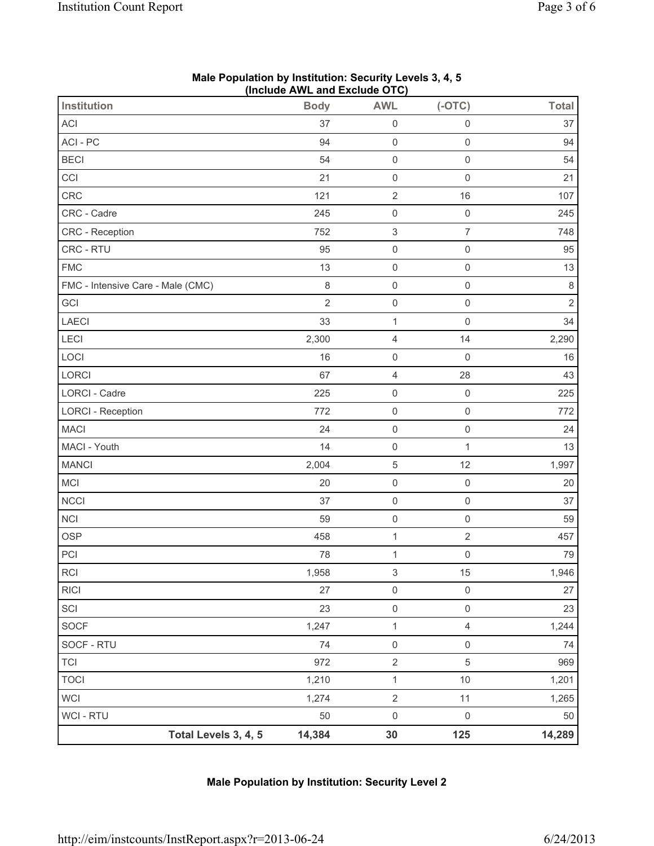| <b>Institution</b>                | (11)<br><b>Body</b> | <b>AWL</b>                | $(-OTC)$            | <b>Total</b>   |
|-----------------------------------|---------------------|---------------------------|---------------------|----------------|
| ACI                               | 37                  | $\mathsf{O}\xspace$       | $\mathsf{O}\xspace$ | 37             |
| ACI - PC                          | 94                  | $\mathsf 0$               | $\mathsf{O}\xspace$ | 94             |
| <b>BECI</b>                       | 54                  | $\mathsf{O}\xspace$       | $\mathsf{O}\xspace$ | 54             |
|                                   |                     |                           |                     |                |
| CCI                               | 21                  | $\mathsf{O}\xspace$       | $\mathsf{O}\xspace$ | 21             |
| CRC                               | 121                 | $\sqrt{2}$                | 16                  | 107            |
| CRC - Cadre                       | 245                 | $\mathsf 0$               | $\mathsf{O}\xspace$ | 245            |
| CRC - Reception                   | 752                 | $\ensuremath{\mathsf{3}}$ | $\overline{7}$      | 748            |
| CRC - RTU                         | 95                  | $\mathsf{O}\xspace$       | $\mathsf{O}\xspace$ | 95             |
| <b>FMC</b>                        | 13                  | $\mathsf{O}\xspace$       | $\mathsf{O}\xspace$ | 13             |
| FMC - Intensive Care - Male (CMC) | 8                   | $\mathsf{O}\xspace$       | $\mathbf 0$         | $\,8\,$        |
| GCI                               | $\overline{2}$      | $\mathsf{O}\xspace$       | $\mathsf{O}\xspace$ | $\overline{2}$ |
| LAECI                             | 33                  | $\mathbf 1$               | $\mathsf{O}\xspace$ | 34             |
| LECI                              | 2,300               | $\overline{4}$            | 14                  | 2,290          |
| LOCI                              | 16                  | $\mathsf{O}\xspace$       | $\mathbf 0$         | 16             |
| LORCI                             | 67                  | $\overline{\mathbf{4}}$   | 28                  | 43             |
| <b>LORCI - Cadre</b>              | 225                 | $\mathsf{O}\xspace$       | $\mathsf{O}\xspace$ | 225            |
| <b>LORCI - Reception</b>          | 772                 | $\mathsf{O}\xspace$       | $\mathsf 0$         | 772            |
| <b>MACI</b>                       | 24                  | $\mathsf{O}\xspace$       | $\mathbf 0$         | 24             |
| MACI - Youth                      | 14                  | $\mathsf{O}\xspace$       | $\mathbf 1$         | 13             |
| <b>MANCI</b>                      | 2,004               | $\sqrt{5}$                | 12                  | 1,997          |
| MCI                               | 20                  | $\mathsf{O}\xspace$       | $\mathsf{O}\xspace$ | 20             |
| <b>NCCI</b>                       | 37                  | $\mathsf 0$               | $\mathsf 0$         | 37             |
| NCI                               | 59                  | $\mathsf 0$               | $\mathsf{O}\xspace$ | 59             |
| <b>OSP</b>                        | 458                 | $\mathbf{1}$              | $\overline{2}$      | 457            |
| PCI                               | 78                  | $\mathbf 1$               | $\mathsf{O}\xspace$ | 79             |
| $\sf RCI$                         | 1,958               | $\ensuremath{\mathsf{3}}$ | 15                  | 1,946          |
| <b>RICI</b>                       | 27                  | $\mathsf 0$               | $\mathsf 0$         | 27             |
| SCI                               | 23                  | $\mathsf{O}\xspace$       | $\mathsf{O}\xspace$ | 23             |
| SOCF                              | 1,247               | $\mathbf{1}$              | $\overline{4}$      | 1,244          |
| SOCF - RTU                        | 74                  | $\mathsf{O}\xspace$       | $\mathsf{O}\xspace$ | 74             |
| <b>TCI</b>                        | 972                 | $\sqrt{2}$                | 5                   | 969            |
| <b>TOCI</b>                       | 1,210               | $\mathbf{1}$              | 10                  | 1,201          |
| <b>WCI</b>                        | 1,274               | $\sqrt{2}$                | 11                  | 1,265          |
| WCI - RTU                         | 50                  | $\mathsf{O}\xspace$       | $\mathsf 0$         | 50             |
| Total Levels 3, 4, 5              | 14,384              | 30                        | 125                 | 14,289         |

### **Male Population by Institution: Security Levels 3, 4, 5 (Include AWL and Exclude OTC)**

# **Male Population by Institution: Security Level 2**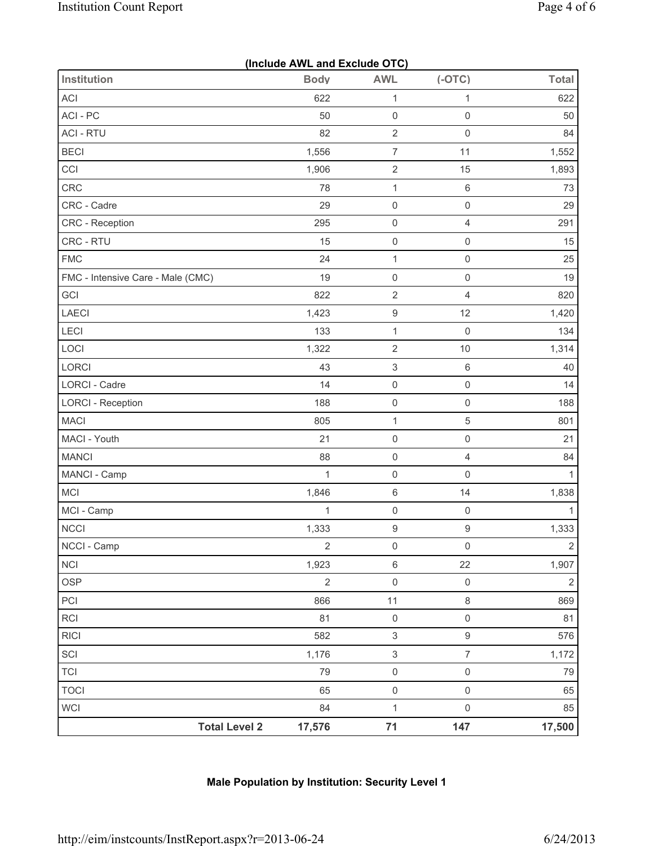|                                   | (Include AWL and Exclude OTC) |                           |                     |                |  |  |  |
|-----------------------------------|-------------------------------|---------------------------|---------------------|----------------|--|--|--|
| <b>Institution</b>                | <b>Body</b>                   | <b>AWL</b>                | $(-OTC)$            | <b>Total</b>   |  |  |  |
| ACI                               | 622                           | $\mathbf{1}$              | $\mathbf{1}$        | 622            |  |  |  |
| ACI-PC                            | 50                            | $\mathsf{O}\xspace$       | $\mathsf 0$         | 50             |  |  |  |
| <b>ACI - RTU</b>                  | 82                            | $\sqrt{2}$                | $\mathsf 0$         | 84             |  |  |  |
| <b>BECI</b>                       | 1,556                         | $\boldsymbol{7}$          | 11                  | 1,552          |  |  |  |
| CCI                               | 1,906                         | $\sqrt{2}$                | 15                  | 1,893          |  |  |  |
| CRC                               | 78                            | $\mathbf{1}$              | $\,6$               | 73             |  |  |  |
| CRC - Cadre                       | 29                            | $\mathsf 0$               | $\mathsf{O}\xspace$ | 29             |  |  |  |
| CRC - Reception                   | 295                           | $\mathsf 0$               | $\overline{4}$      | 291            |  |  |  |
| CRC - RTU                         | 15                            | $\mathsf 0$               | $\mathsf{O}\xspace$ | 15             |  |  |  |
| <b>FMC</b>                        | 24                            | $\mathbf{1}$              | $\mathsf 0$         | 25             |  |  |  |
| FMC - Intensive Care - Male (CMC) | 19                            | $\mathsf 0$               | $\mathsf 0$         | 19             |  |  |  |
| GCI                               | 822                           | $\overline{2}$            | $\overline{4}$      | 820            |  |  |  |
| <b>LAECI</b>                      | 1,423                         | $\boldsymbol{9}$          | 12                  | 1,420          |  |  |  |
| LECI                              | 133                           | $\mathbf{1}$              | $\mathsf 0$         | 134            |  |  |  |
| LOCI                              | 1,322                         | $\sqrt{2}$                | $10$                | 1,314          |  |  |  |
| LORCI                             | 43                            | $\ensuremath{\mathsf{3}}$ | $\,6$               | 40             |  |  |  |
| LORCI - Cadre                     | 14                            | $\mathsf 0$               | $\mathsf{O}\xspace$ | 14             |  |  |  |
| <b>LORCI - Reception</b>          | 188                           | $\mathsf{O}\xspace$       | $\mathsf 0$         | 188            |  |  |  |
| <b>MACI</b>                       | 805                           | $\mathbf{1}$              | 5                   | 801            |  |  |  |
| MACI - Youth                      | 21                            | $\mathsf{O}\xspace$       | $\mathsf{O}\xspace$ | 21             |  |  |  |
| <b>MANCI</b>                      | 88                            | $\mathsf{O}\xspace$       | $\overline{4}$      | 84             |  |  |  |
| MANCI - Camp                      | $\mathbf{1}$                  | $\mathsf 0$               | $\mathsf 0$         | $\mathbf{1}$   |  |  |  |
| MCI                               | 1,846                         | $\,6\,$                   | 14                  | 1,838          |  |  |  |
| MCI - Camp                        | $\mathbf{1}$                  | $\mathsf{O}\xspace$       | $\mathsf 0$         | $\mathbf{1}$   |  |  |  |
| <b>NCCI</b>                       | 1,333                         | $\boldsymbol{9}$          | $\boldsymbol{9}$    | 1,333          |  |  |  |
| NCCI - Camp                       | $\overline{2}$                | $\mathsf 0$               | $\mathsf{O}\xspace$ | $\overline{2}$ |  |  |  |
| <b>NCI</b>                        | 1,923                         | $\,6\,$                   | 22                  | 1,907          |  |  |  |
| <b>OSP</b>                        | $\overline{2}$                | $\mathsf{O}\xspace$       | $\mathsf{O}\xspace$ | $\overline{2}$ |  |  |  |
| PCI                               | 866                           | 11                        | $\,8\,$             | 869            |  |  |  |
| <b>RCI</b>                        | 81                            | $\mathsf 0$               | $\mathsf 0$         | 81             |  |  |  |
| <b>RICI</b>                       | 582                           | $\ensuremath{\mathsf{3}}$ | $\mathsf g$         | 576            |  |  |  |
| SCI                               | 1,176                         | $\ensuremath{\mathsf{3}}$ | $\overline{7}$      | 1,172          |  |  |  |
| <b>TCI</b>                        | 79                            | $\mathsf{O}\xspace$       | $\mathsf{O}\xspace$ | 79             |  |  |  |
| <b>TOCI</b>                       | 65                            | $\mathsf{O}\xspace$       | $\mathsf{O}\xspace$ | 65             |  |  |  |
| <b>WCI</b>                        | 84                            | $\mathbf{1}$              | $\mathsf 0$         | 85             |  |  |  |
| <b>Total Level 2</b>              | 17,576                        | 71                        | 147                 | 17,500         |  |  |  |

# **Male Population by Institution: Security Level 1**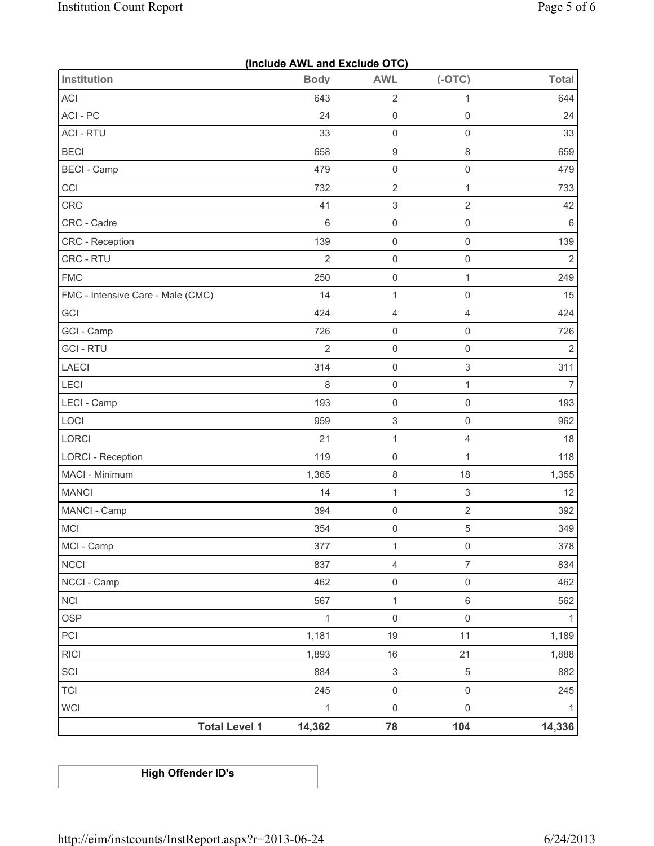| (Include AWL and Exclude OTC)     |                |                           |                           |                |  |  |
|-----------------------------------|----------------|---------------------------|---------------------------|----------------|--|--|
| <b>Institution</b>                | <b>Body</b>    | <b>AWL</b>                | $(-OTC)$                  | <b>Total</b>   |  |  |
| ACI                               | 643            | $\mathbf 2$               | 1                         | 644            |  |  |
| ACI-PC                            | 24             | $\mathsf{O}\xspace$       | $\mathsf 0$               | 24             |  |  |
| <b>ACI - RTU</b>                  | 33             | $\mathsf 0$               | $\mathsf{O}\xspace$       | 33             |  |  |
| <b>BECI</b>                       | 658            | $\boldsymbol{9}$          | $\,8\,$                   | 659            |  |  |
| <b>BECI - Camp</b>                | 479            | $\mathsf 0$               | $\mathsf 0$               | 479            |  |  |
| CCI                               | 732            | $\sqrt{2}$                | $\mathbf{1}$              | 733            |  |  |
| CRC                               | 41             | $\ensuremath{\mathsf{3}}$ | $\sqrt{2}$                | 42             |  |  |
| CRC - Cadre                       | 6              | $\mathsf{O}\xspace$       | $\mathsf{O}\xspace$       | $\,6\,$        |  |  |
| <b>CRC</b> - Reception            | 139            | $\mathsf{O}\xspace$       | $\mathsf{O}\xspace$       | 139            |  |  |
| CRC - RTU                         | $\overline{2}$ | $\mathsf{O}\xspace$       | $\mathsf 0$               | $\overline{2}$ |  |  |
| <b>FMC</b>                        | 250            | $\mathsf{O}\xspace$       | $\mathbf{1}$              | 249            |  |  |
| FMC - Intensive Care - Male (CMC) | 14             | $\mathbf{1}$              | $\mathsf{O}\xspace$       | 15             |  |  |
| GCI                               | 424            | 4                         | $\overline{4}$            | 424            |  |  |
| GCI - Camp                        | 726            | $\mathsf 0$               | $\mathsf 0$               | 726            |  |  |
| <b>GCI-RTU</b>                    | $\overline{2}$ | $\mathsf 0$               | $\mathsf{O}\xspace$       | $\overline{2}$ |  |  |
| LAECI                             | 314            | $\mathsf 0$               | $\,$ 3 $\,$               | 311            |  |  |
| LECI                              | 8              | $\mathsf{O}\xspace$       | 1                         | $\overline{7}$ |  |  |
| LECI - Camp                       | 193            | $\mathsf 0$               | $\mathsf 0$               | 193            |  |  |
| LOCI                              | 959            | $\ensuremath{\mathsf{3}}$ | $\mathsf{O}\xspace$       | 962            |  |  |
| LORCI                             | 21             | $\mathbf 1$               | $\overline{4}$            | 18             |  |  |
| <b>LORCI - Reception</b>          | 119            | $\mathsf{O}\xspace$       | $\mathbf{1}$              | 118            |  |  |
| MACI - Minimum                    | 1,365          | 8                         | 18                        | 1,355          |  |  |
| <b>MANCI</b>                      | 14             | $\mathbf{1}$              | $\ensuremath{\mathsf{3}}$ | 12             |  |  |
| MANCI - Camp                      | 394            | $\mathsf 0$               | $\overline{2}$            | 392            |  |  |
| MCI                               | 354            | $\mathsf{O}\xspace$       | $\sqrt{5}$                | 349            |  |  |
| MCI - Camp                        | 377            | $\mathbf{1}$              | $\mathsf{O}\xspace$       | 378            |  |  |
| <b>NCCI</b>                       | 837            | $\overline{4}$            | $\overline{7}$            | 834            |  |  |
| NCCI - Camp                       | 462            | $\mathsf{O}\xspace$       | $\mathsf{O}\xspace$       | 462            |  |  |
| <b>NCI</b>                        | 567            | $\mathbf{1}$              | 6                         | 562            |  |  |
| <b>OSP</b>                        | $\mathbf{1}$   | $\mathsf{O}\xspace$       | $\mathsf{O}\xspace$       | 1              |  |  |
| PCI                               | 1,181          | 19                        | 11                        | 1,189          |  |  |
| <b>RICI</b>                       | 1,893          | $16\,$                    | 21                        | 1,888          |  |  |
| SCI                               | 884            | $\ensuremath{\mathsf{3}}$ | 5                         | 882            |  |  |
| <b>TCI</b>                        | 245            | $\mathsf{O}\xspace$       | $\mathsf{O}\xspace$       | 245            |  |  |
| <b>WCI</b>                        | $\mathbf{1}$   | $\mathsf{O}\xspace$       | $\mathsf{O}\xspace$       | 1              |  |  |
| <b>Total Level 1</b>              | 14,362         | 78                        | 104                       | 14,336         |  |  |

**High Offender ID's**